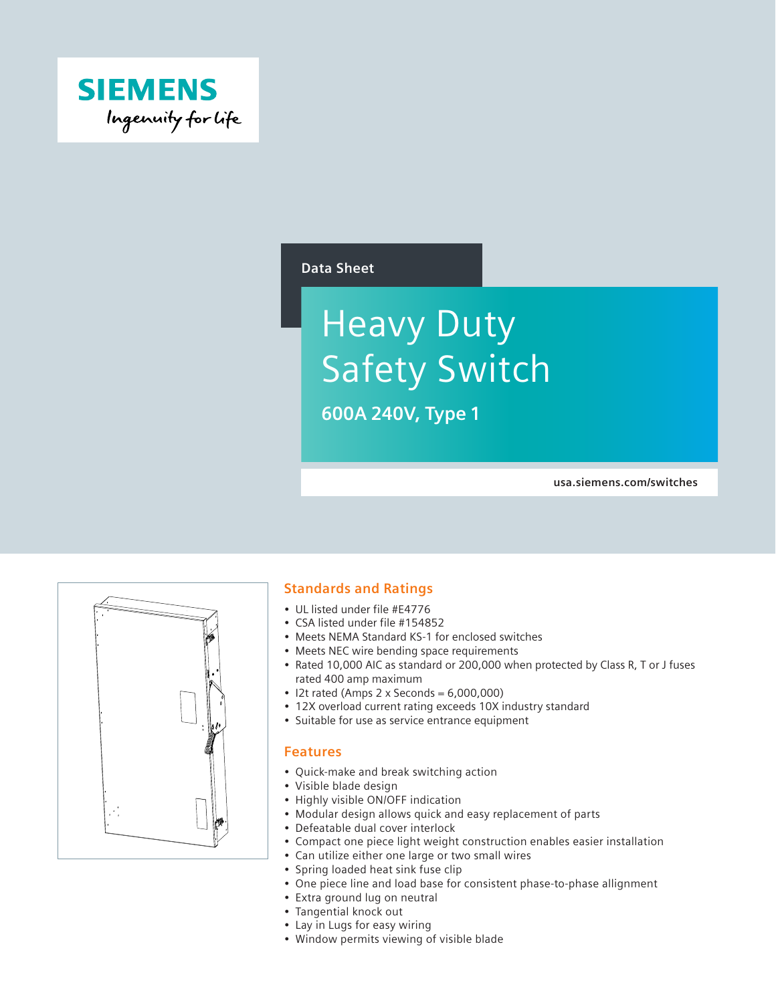

#### **Data Sheet**

# Heavy Duty Safety Switch

**600A 240V, Type 1**

**usa.siemens.com/switches**



#### **Standards and Ratings**

- UL listed under file #E4776
- CSA listed under file #154852
- Meets NEMA Standard KS-1 for enclosed switches
- Meets NEC wire bending space requirements
- Rated 10,000 AIC as standard or 200,000 when protected by Class R, T or J fuses rated 400 amp maximum
- I2t rated (Amps 2 x Seconds =  $6,000,000$ )
- 12X overload current rating exceeds 10X industry standard
- Suitable for use as service entrance equipment

#### **Features**

- Quick-make and break switching action
- Visible blade design
- Highly visible ON/OFF indication
- Modular design allows quick and easy replacement of parts
- Defeatable dual cover interlock
- Compact one piece light weight construction enables easier installation
- Can utilize either one large or two small wires
- Spring loaded heat sink fuse clip
- One piece line and load base for consistent phase-to-phase allignment
- Extra ground lug on neutral
- Tangential knock out
- Lay in Lugs for easy wiring
- Window permits viewing of visible blade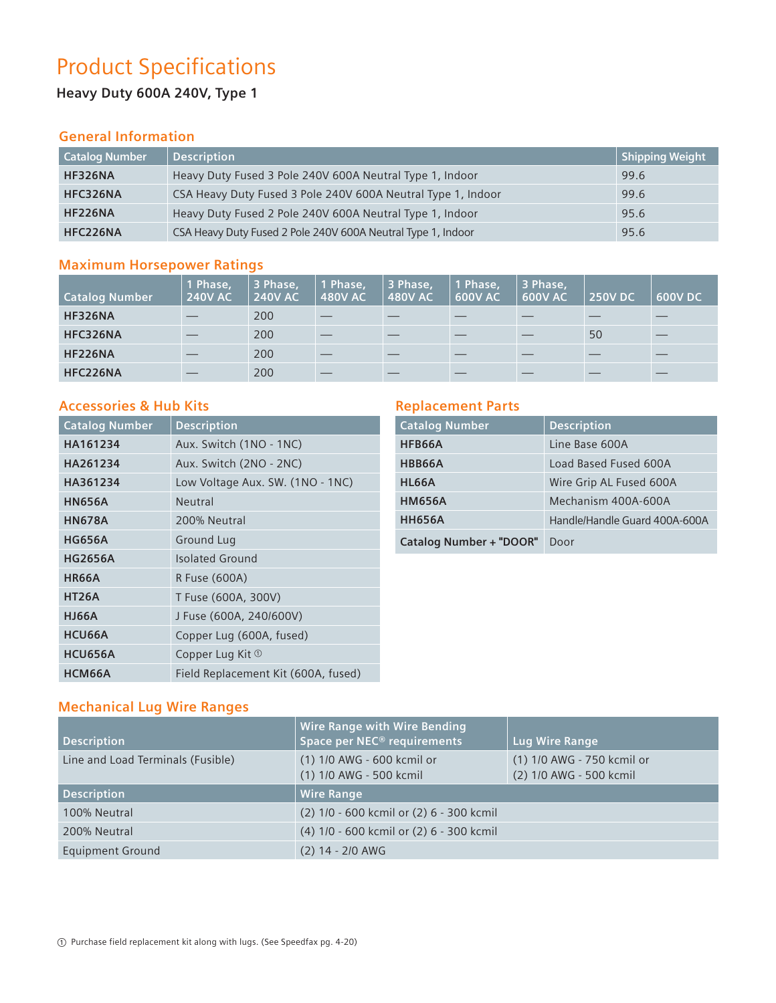# Product Specifications

## **Heavy Duty 600A 240V, Type 1**

#### **General Information**

| <b>Catalog Number</b> | <b>Description</b>                                           | $\mid$ Shipping Weight $\mid$ |
|-----------------------|--------------------------------------------------------------|-------------------------------|
| <b>HF326NA</b>        | Heavy Duty Fused 3 Pole 240V 600A Neutral Type 1, Indoor     | 99.6                          |
| HFC326NA              | CSA Heavy Duty Fused 3 Pole 240V 600A Neutral Type 1, Indoor | 99.6                          |
| <b>HF226NA</b>        | Heavy Duty Fused 2 Pole 240V 600A Neutral Type 1, Indoor     | 95.6                          |
| HFC226NA              | CSA Heavy Duty Fused 2 Pole 240V 600A Neutral Type 1, Indoor | 95.6                          |

### **Maximum Horsepower Ratings**

| <b>Catalog Number</b> | 1 Phase,<br><b>240V AC</b> | 3 Phase,<br><b>240V AC</b> | 1 Phase,<br><b>480V AC</b> | 3 Phase,<br><b>480V AC</b> | 1 Phase,<br><b>600V AC</b> | 3 Phase,<br><b>600V AC</b> | <b>250V DC</b> | 600V DC |
|-----------------------|----------------------------|----------------------------|----------------------------|----------------------------|----------------------------|----------------------------|----------------|---------|
| <b>HF326NA</b>        |                            | 200                        |                            |                            |                            |                            |                |         |
| HFC326NA              |                            | 200                        | __                         |                            |                            |                            | 50             |         |
| <b>HF226NA</b>        |                            | 200                        |                            |                            |                            |                            |                |         |
| HFC226NA              |                            | 200                        |                            |                            |                            |                            |                |         |

#### **Accessories & Hub Kits**

| <b>Catalog Number</b> | <b>Description</b>                  |
|-----------------------|-------------------------------------|
| HA161234              | Aux. Switch (1NO - 1NC)             |
| HA261234              | Aux. Switch (2NO - 2NC)             |
| HA361234              | Low Voltage Aux. SW. (1NO - 1NC)    |
| <b>HN656A</b>         | Neutral                             |
| <b>HN678A</b>         | 200% Neutral                        |
| <b>HG656A</b>         | Ground Lug                          |
| <b>HG2656A</b>        | <b>Isolated Ground</b>              |
| <b>HR66A</b>          | R Fuse (600A)                       |
| <b>HT26A</b>          | T Fuse (600A, 300V)                 |
| <b>HJ66A</b>          | J Fuse (600A, 240/600V)             |
| HCU66A                | Copper Lug (600A, fused)            |
| HCU656A               | Copper Lug Kit $\Phi$               |
| HCM66A                | Field Replacement Kit (600A, fused) |

#### **Replacement Parts**

| <b>Catalog Number</b>          | <b>Description</b>            |
|--------------------------------|-------------------------------|
| HFB66A                         | Line Base 600A                |
| HBB66A                         | Load Based Fused 600A         |
| HL66A                          | Wire Grip AL Fused 600A       |
| <b>HM656A</b>                  | Mechanism 400A-600A           |
| <b>HH656A</b>                  | Handle/Handle Guard 400A-600A |
| <b>Catalog Number + "DOOR"</b> | Door                          |

## **Mechanical Lug Wire Ranges**

| <b>Description</b>                | <b>Wire Range with Wire Bending</b><br>Space per NEC <sup>®</sup> requirements | Lug Wire Range                                        |
|-----------------------------------|--------------------------------------------------------------------------------|-------------------------------------------------------|
| Line and Load Terminals (Fusible) | (1) 1/0 AWG - 600 kcmil or<br>(1) 1/0 AWG - 500 kcmil                          | (1) 1/0 AWG - 750 kcmil or<br>(2) 1/0 AWG - 500 kcmil |
| <b>Description</b>                | <b>Wire Range</b>                                                              |                                                       |
| 100% Neutral                      | (2) 1/0 - 600 kcmil or (2) 6 - 300 kcmil                                       |                                                       |
| 200% Neutral                      | (4) 1/0 - 600 kcmil or (2) 6 - 300 kcmil                                       |                                                       |
| <b>Equipment Ground</b>           | $(2)$ 14 - 2/0 AWG                                                             |                                                       |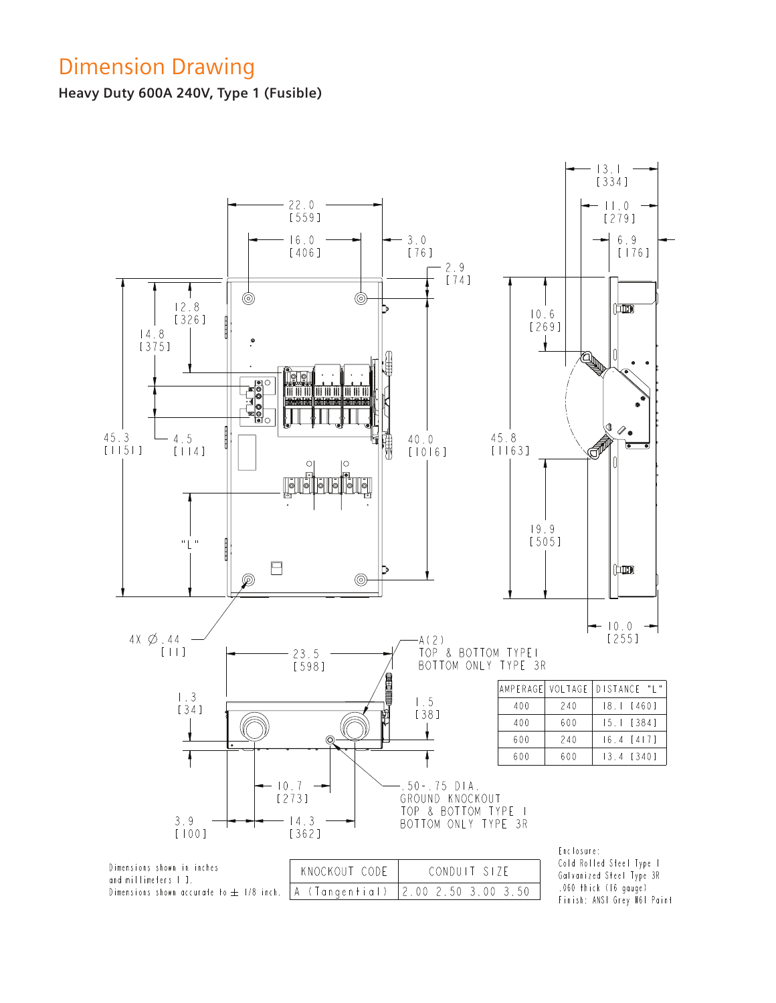# Dimension Drawing

**Heavy Duty 600A 240V, Type 1 (Fusible)**